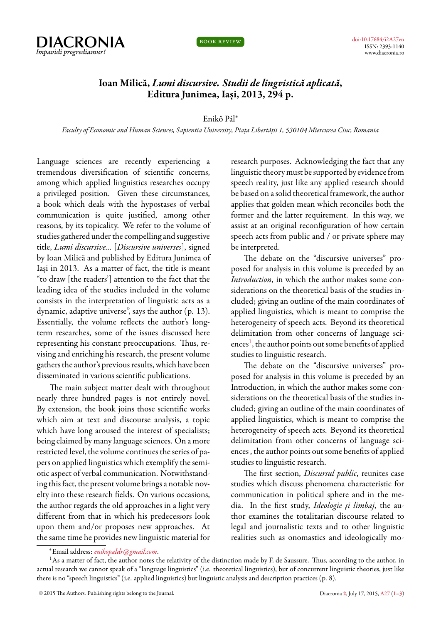



## **Ioan Milică,** *Lumi discursive. Studii de lingvistică aplicată***, Editura Junimea, Iași, 2013, 294 p.**

## Enikő Pál*<sup>∗</sup>*

*Faculty of Economic and Human Sciences, Sapientia University, Piața Libertății 1, 530104 Miercurea Ciuc, Romania*

<span id="page-0-0"></span>Language sciences are recently experiencing a tremendous diversification of scientific concerns, among which applied linguistics researches occupy a privileged position. Given these circumstances, a book which deals with the hypostases of verbal communication is quite justified, among other reasons, by its topicality. We refer to the volume of studies gathered under the compelling and suggestive title, *Lumi discursive…* [*Discursive universes*], signed by Ioan Milică and published by Editura Junimea of Iași in 2013. As a matter of fact, the title is meant "to draw [the readers'] attention to the fact that the leading idea of the studies included in the volume consists in the interpretation of linguistic acts as a dynamic, adaptive universe", says the author (p. 13). Essentially, the volume reflects the author's longterm researches, some of the issues discussed here representing his constant preoccupations. Thus, revising and enriching his research, the present volume gathers the author's previous results, which have been disseminated in various scientific publications.

The main subject matter dealt with throughout nearly three hundred pages is not entirely novel. By extension, the book joins those scientific works which aim at text and discourse analysis, a topic which have long aroused the interest of specialists; being claimed by many language sciences. On a more restricted level, the volume continues the series of papers on applied linguistics which exemplify the semiotic aspect of verbal communication. Notwithstanding this fact, the present volume brings a notable novelty into these research fields. On various occasions, the author regards the old approaches in a light very different from that in which his predecessors look upon them and/or proposes new approaches. At the same time he provides new linguistic material for research purposes. Acknowledging the fact that any linguistic theory must be supported by evidence from speech reality, just like any applied research should be based on a solid theoretical framework, the author applies that golden mean which reconciles both the former and the latter requirement. In this way, we assist at an original reconfiguration of how certain speech acts from public and / or private sphere may be interpreted.

The debate on the "discursive universes" proposed for analysis in this volume is preceded by an *Introduction*, in which the author makes some considerations on the theoretical basis of the studies included; giving an outline of the main coordinates of applied linguistics, which is meant to comprise the heterogeneity of speech acts. Beyond its theoretical delimitation from other concerns of language sci-ences<sup>[1](#page-0-1)</sup>, the author points out some benefits of applied studies to linguistic research.

The debate on the "discursive universes" proposed for analysis in this volume is preceded by an Introduction, in which the author makes some considerations on the theoretical basis of the studies included; giving an outline of the main coordinates of applied linguistics, which is meant to comprise the heterogeneity of speech acts. Beyond its theoretical delimitation from other concerns of language sciences , the author points out some benefits of applied studies to linguistic research.

The first section, *Discursul public*, reunites case studies which discuss phenomena characteristic for communication in political sphere and in the media. In the first study, *Ideologie și limbaj*, the author examines the totalitarian discourse related to legal and journalistic texts and to other linguistic realities such as onomastics and ideologically mo-

<span id="page-0-1"></span>*<sup>∗</sup>*Email address: *[enikopaldr@gmail.com](mailto:enikopaldr@gmail.com)*.

<sup>&</sup>lt;sup>1</sup>As a matter of fact, the author notes the relativity of the distinction made by F. de Saussure. Thus, according to the author, in actual research we cannot speak of a "language linguistics" (i.e. theoretical linguistics), but of concurrent linguistic theories, just like there is no "speech linguistics" (i.e. applied linguistics) but linguistic analysis and description practices (p. 8).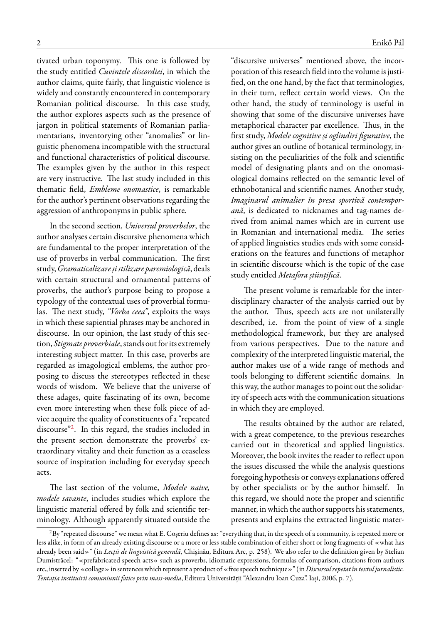tivated urban toponymy. This one is followed by the study entitled *Cuvintele discordiei*, in which the author claims, quite fairly, that linguistic violence is widely and constantly encountered in contemporary Romanian political discourse. In this case study, the author explores aspects such as the presence of jargon in political statements of Romanian parliamentarians, inventorying other "anomalies" or linguistic phenomena incompatible with the structural and functional characteristics of political discourse. The examples given by the author in this respect are very instructive. The last study included in this thematic field, *Embleme onomastice*, is remarkable for the author's pertinent observations regarding the aggression of anthroponyms in public sphere.

In the second section, *Universul proverbelor*, the author analyses certain discursive phenomena which are fundamental to the proper interpretation of the use of proverbs in verbal communication. The first study,*Gramaticalizareșistilizare paremiologică*, deals with certain structural and ornamental patterns of proverbs, the author's purpose being to propose a typology of the contextual uses of proverbial formulas. The next study, *"Vorba ceea"*, exploits the ways in which these sapiential phrases may be anchored in discourse. In our opinion, the last study of this section, *Stigmate proverbiale*, stands out for its extremely interesting subject matter. In this case, proverbs are regarded as imagological emblems, the author proposing to discuss the stereotypes reflected in these words of wisdom. We believe that the universe of these adages, quite fascinating of its own, become even more interesting when these folk piece of advice acquire the quality of constituents of a "repeated discourse"[2](#page-1-0) . In this regard, the studies included in the present section demonstrate the proverbs' extraordinary vitality and their function as a ceaseless source of inspiration including for everyday speech acts.

The last section of the volume, *Modele naive, modele savante*, includes studies which explore the linguistic material offered by folk and scientific terminology. Although apparently situated outside the

"discursive universes" mentioned above, the incorporation of this research field into the volume is justified, on the one hand, by the fact that terminologies, in their turn, reflect certain world views. On the other hand, the study of terminology is useful in showing that some of the discursive universes have metaphorical character par excellence. Thus, in the first study, *Modele cognitive și oglindiri figurative*, the author gives an outline of botanical terminology, insisting on the peculiarities of the folk and scientific model of designating plants and on the onomasiological domains reflected on the semantic level of ethnobotanical and scientific names. Another study, *Imaginarul animalier în presa sportivă contemporană*, is dedicated to nicknames and tag-names derived from animal names which are in current use in Romanian and international media. The series of applied linguistics studies ends with some considerations on the features and functions of metaphor in scientific discourse which is the topic of the case study entitled *Metafora științifică*.

The present volume is remarkable for the interdisciplinary character of the analysis carried out by the author. Thus, speech acts are not unilaterally described, i.e. from the point of view of a single methodological framework, but they are analysed from various perspectives. Due to the nature and complexity of the interpreted linguistic material, the author makes use of a wide range of methods and tools belonging to different scientific domains. In this way, the author manages to point out the solidarity of speech acts with the communication situations in which they are employed.

The results obtained by the author are related, with a great competence, to the previous researches carried out in theoretical and applied linguistics. Moreover, the book invites the reader to reflect upon the issues discussed the while the analysis questions foregoing hypothesis or conveys explanations offered by other specialists or by the author himself. In this regard, we should note the proper and scientific manner, in which the author supports his statements, presents and explains the extracted linguistic mater-

<span id="page-1-0"></span> ${}^{2}$ By "repeated discourse" we mean what E. Coșeriu defines as: "everything that, in the speech of a community, is repeated more or less alike, in form of an already existing discourse or a more or less stable combination of either short or long fragments of «what has already been said»" (in *Lecții de lingvistică generală*, Chișinău, Editura Arc, p. 258). We also refer to the definition given by Stelian Dumistrăcel: "«prefabricated speech acts» such as proverbs, idiomatic expressions, formulas of comparison, citations from authors etc., inserted by «collage» in sentences which represent a product of «free speech technique»" (in*Discursul repetat întextul jurnalistic. Tentația instituirii comuniunii fatice prin mass-media*, Editura Universității "Alexandru Ioan Cuza", Iași, 2006, p. 7).